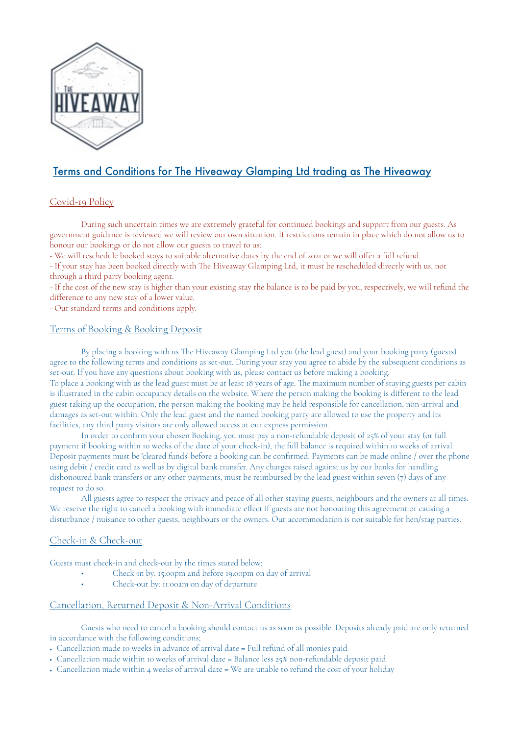

# Terms and Conditions for The Hiveaway Glamping Ltd trading as The Hiveaway

# Covid-19 Policy

 During such uncertain times we are extremely grateful for continued bookings and support from our guests. As government guidance is reviewed we will review our own situation. If restrictions remain in place which do not allow us to honour our bookings or do not allow our guests to travel to us:

- We will reschedule booked stays to suitable alternative dates by the end of 2021 or we will ofer a full refund.

- If your stay has been booked directly with The Hiveaway Glamping Ltd, it must be rescheduled directly with us, not through a third party booking agent.

- If the cost of the new stay is higher than your existing stay the balance is to be paid by you, respectively, we will refund the diference to any new stay of a lower value.

- Our standard terms and conditions apply.

# Terms of Booking & Booking Deposit

By placing a booking with us The Hiveaway Glamping Ltd you (the lead guest) and your booking party (guests) agree to the following terms and conditions as set-out. During your stay you agree to abide by the subsequent conditions as set-out. If you have any questions about booking with us, please contact us before making a booking. To place a booking with us the lead guest must be at least 18 years of age. The maximum number of staying guests per cabin is illustrated in the cabin occupancy details on the website. Where the person making the booking is diferent to the lead guest taking up the occupation, the person making the booking may be held responsible for cancellation, non-arrival and damages as set-out within. Only the lead guest and the named booking party are allowed to use the property and its facilities, any third party visitors are only allowed access at our express permission.

 In order to confirm your chosen Booking, you must pay a non-refundable deposit of 25% of your stay (or full payment if booking within 10 weeks of the date of your check-in), the full balance is required within 10 weeks of arrival. Deposit payments must be 'cleared funds' before a booking can be confirmed. Payments can be made online / over the phone using debit / credit card as well as by digital bank transfer. Any charges raised against us by our banks for handling dishonoured bank transfers or any other payments, must be reimbursed by the lead guest within seven (7) days of any request to do so.

 All guests agree to respect the privacy and peace of all other staying guests, neighbours and the owners at all times. We reserve the right to cancel a booking with immediate effect if guests are not honouring this agreement or causing a disturbance / nuisance to other guests, neighbours or the owners. Our accommodation is not suitable for hen/stag parties.

## Check-in & Check-out

Guests must check-in and check-out by the times stated below;

- Check-in by: 15:00pm and before 19:00pm on day of arrival
- Check-out by: 11:00am on day of departure

## Cancellation, Returned Deposit & Non-Arrival Conditions

 Guests who need to cancel a booking should contact us as soon as possible. Deposits already paid are only returned in accordance with the following conditions;

- Cancellation made 10 weeks in advance of arrival date = Full refund of all monies paid
- Cancellation made within 10 weeks of arrival date = Balance less 25% non-refundable deposit paid
- Cancellation made within 4 weeks of arrival date = We are unable to refund the cost of your holiday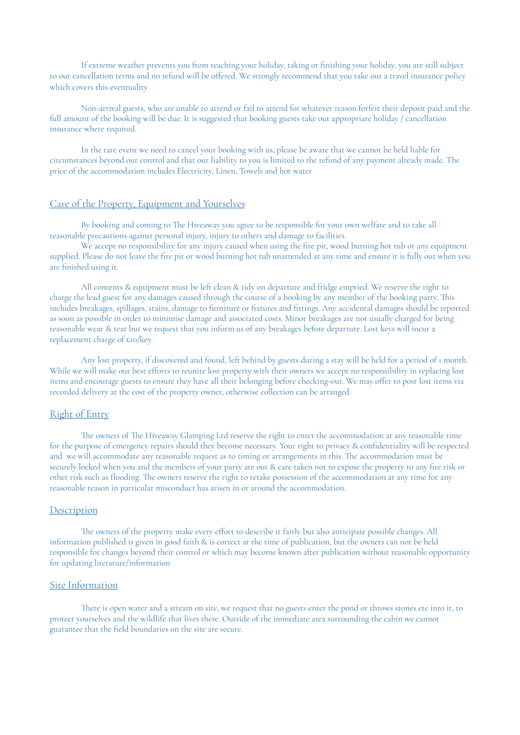If extreme weather prevents you from reaching your holiday, taking or finishing your holiday, you are still subject to our cancellation terms and no refund will be ofered. We strongly recommend that you take out a travel insurance policy which covers this eventuality

 Non-arrival guests, who are unable to attend or fail to attend for whatever reason forfeit their deposit paid and the full amount of the booking will be due. It is suggested that booking guests take out appropriate holiday / cancellation insurance where required.

 In the rare event we need to cancel your booking with us, please be aware that we cannot be held liable for circumstances beyond our control and that our liability to you is limited to the refund of any payment already made. The price of the accommodation includes Electricity, Linen, Towels and hot water

#### Care of the Property, Equipment and Yourselves

By booking and coming to The Hiveaway you agree to be responsible for your own welfare and to take all reasonable precautions against personal injury, injury to others and damage to facilities.

We accept no responsibility for any injury caused when using the fire pit, wood burning hot tub or any equipment supplied. Please do not leave the fire pit or wood burning hot tub unattended at any time and ensure it is fully out when you are finished using it.

All contents & equipment must be left clean & tidy on departure and fridge emptied. We reserve the right to charge the lead guest for any damages caused through the course of a booking by any member of the booking party. Tis includes breakages, spillages, stains, damage to furniture or fixtures and fittings. Any accidental damages should be reported as soon as possible in order to minimise damage and associated costs. Minor breakages are not usually charged for being reasonable wear & tear but we request that you inform us of any breakages before departure. Lost keys will incur a replacement charge of £10/key.

Any lost property, if discovered and found, left behind by guests during a stay will be held for a period of 1 month. While we will make our best efforts to reunite lost property with their owners we accept no responsibility in replacing lost items and encourage guests to ensure they have all their belonging before checking-out. We may ofer to post lost items via recorded delivery at the cost of the property owner, otherwise collection can be arranged.

#### Right of Entry

The owners of The Hiveaway Glamping Ltd reserve the right to enter the accommodation at any reasonable time for the purpose of emergency repairs should they become necessary. Your right to privacy & confidentiality will be respected and we will accommodate any reasonable request as to timing or arrangements in this. The accommodation must be securely locked when you and the members of your party are out & care taken not to expose the property to any fire risk or other risk such as flooding. The owners reserve the right to retake possession of the accommodation at any time for any reasonable reason in particular misconduct has arisen in or around the accommodation.

## **Description**

The owners of the property make every effort to describe it fairly but also anticipate possible changes. All information published is given in good faith & is correct at the time of publication, but the owners can not be held responsible for changes beyond their control or which may become known afer publication without reasonable opportunity for updating literature/information

#### Site Information

There is open water and a stream on site, we request that no guests enter the pond or throws stones etc into it, to protect yourselves and the wildlife that lives there. Outside of the immediate area surrounding the cabin we cannot guarantee that the field boundaries on the site are secure.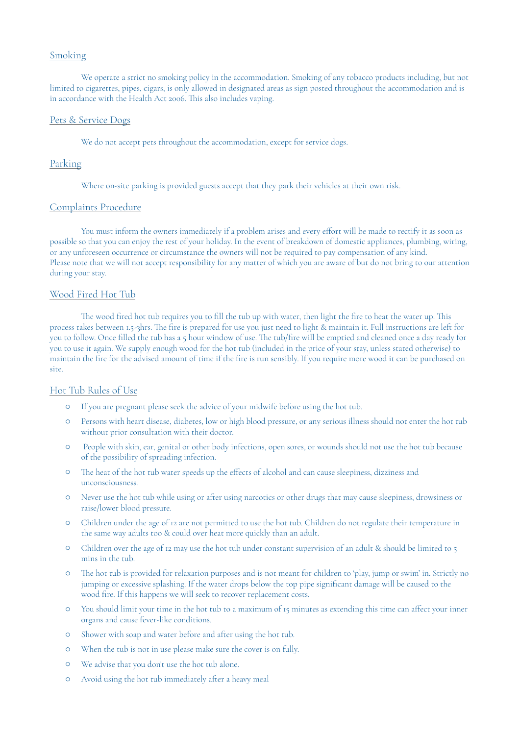#### Smoking

 We operate a strict no smoking policy in the accommodation. Smoking of any tobacco products including, but not limited to cigarettes, pipes, cigars, is only allowed in designated areas as sign posted throughout the accommodation and is in accordance with the Health Act 2006. This also includes vaping.

#### Pets & Service Dogs

We do not accept pets throughout the accommodation, except for service dogs.

#### Parking

Where on-site parking is provided guests accept that they park their vehicles at their own risk.

## Complaints Procedure

You must inform the owners immediately if a problem arises and every effort will be made to rectify it as soon as possible so that you can enjoy the rest of your holiday. In the event of breakdown of domestic appliances, plumbing, wiring, or any unforeseen occurrence or circumstance the owners will not be required to pay compensation of any kind. Please note that we will not accept responsibility for any matter of which you are aware of but do not bring to our attention during your stay.

#### Wood Fired Hot Tub

The wood fired hot tub requires you to fill the tub up with water, then light the fire to heat the water up. This process takes between 1.5-3hrs. Te fire is prepared for use you just need to light & maintain it. Full instructions are lef for you to follow. Once filled the tub has a 5 hour window of use. The tub/fire will be emptied and cleaned once a day ready for you to use it again. We supply enough wood for the hot tub (included in the price of your stay, unless stated otherwise) to maintain the fire for the advised amount of time if the fire is run sensibly. If you require more wood it can be purchased on site.

#### Hot Tub Rules of Use

- o If you are pregnant please seek the advice of your midwife before using the hot tub.
- o Persons with heart disease, diabetes, low or high blood pressure, or any serious illness should not enter the hot tub without prior consultation with their doctor.
- o People with skin, ear, genital or other body infections, open sores, or wounds should not use the hot tub because of the possibility of spreading infection.
- o The heat of the hot tub water speeds up the effects of alcohol and can cause sleepiness, dizziness and unconsciousness.
- o Never use the hot tub while using or afer using narcotics or other drugs that may cause sleepiness, drowsiness or raise/lower blood pressure.
- o Children under the age of 12 are not permitted to use the hot tub. Children do not regulate their temperature in the same way adults too & could over heat more quickly than an adult.
- o Children over the age of 12 may use the hot tub under constant supervision of an adult & should be limited to 5 mins in the tub.
- o Te hot tub is provided for relaxation purposes and is not meant for children to 'play, jump or swim' in. Strictly no jumping or excessive splashing. If the water drops below the top pipe significant damage will be caused to the wood fire. If this happens we will seek to recover replacement costs.
- o You should limit your time in the hot tub to a maximum of 15 minutes as extending this time can afect your inner organs and cause fever-like conditions.
- o Shower with soap and water before and afer using the hot tub.
- o When the tub is not in use please make sure the cover is on fully.
- o We advise that you don't use the hot tub alone.
- o Avoid using the hot tub immediately afer a heavy meal